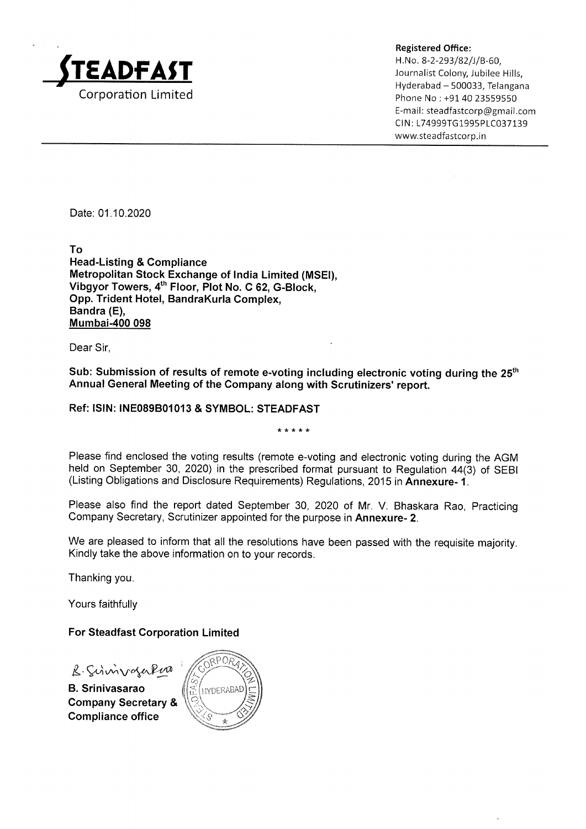

Registered Office:

H.Na. 8-2-293/82/J/B-60,  $\mathsf{E}\mathsf{A}\mathsf{D}\mathsf{F}\mathsf{A}\mathsf{S}\mathsf{T}$  and the colony, Jubilee Hills, Hyderabad — 500033, Telangana Corporation Limited **Phone No : +91 40 23559550** E-mail: steadfastcorp@gmail.com CIN: L74999TG1995PLC037139 www.steadfastcorp.in

Date: 01.10.2020

To Head-Listing & Compliance Metropolitan Stock Exchange of India Limited (MSEI), Vibgyor Towers,4" Floor, Plot No. C 62, G-Block, Opp.Trident Hotel, BandraKurla Complex, Bandra (E), Mumbai-400 098

Dear Sir,

Sub: Submission of results of remote e-voting including electronic voting during the 25<sup>th</sup> Annual General Meeting of the Company along with Scrutinizers' report.

#### Ref: ISIN: INE089B01013 & SYMBOL: STEADFAST

\* \* \* \* \*

Please find enclosed the voting results (remote e-voting and electronic voting during the AGM held on September 30, 2020) in the prescribed format pursuant to Regulation 44(3) of SEBI (Listing Obligations and Disclosure Requirements) Regulations, 2015 in Annexure- 1.

Please also find the report dated September 30, 2020 of Mr. V. Bhaskara Rao, Practicing Company Secretary, Scrutinizer appointed for the purpose in Annexure- 2.

We are pleased to inform that all the resolutions have been passed with the requisite majority. Kindly take the above information on to your records.

Thanking you.

Yours faithfully

#### For Steadfast Corporation Limited

B. Schwizoger

B. Srinivasarao **Alta Alexandra Alta Science** Company Secretary & **Compliance office** 

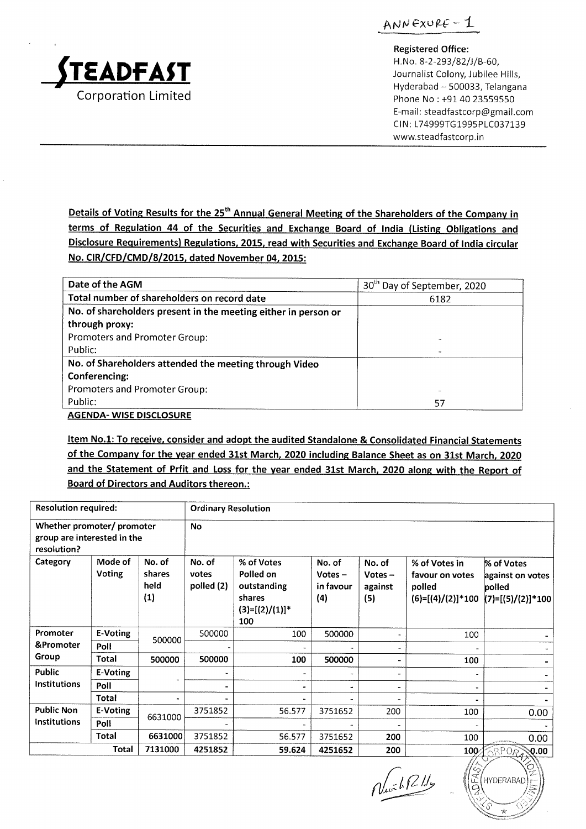

ANNEXURE  $-1$ 

Registered Office:

H.No. 8-2-293/82/5/B-60, Journalist Colony, Jubilee Hills, Hyderabad — 500033, Telangana Phone No: +91 40 23559550 E-mail: steadfastcorp@gmail.com CIN: L74999TG1995PLC037139 www.steadfastcorp.in

Details of Voting Results for the 25<sup>th</sup> Annual General Meeting of the Shareholders of the Company in terms of Regulation 44 of the Securities and Exchange Board of India (Listing Obligations and Disclosure Requirements) Regulations, 2015, read with Securities and Exchange Board of India circular No. CIR/CFD/CMD/8/2015, dated November 04, 2015:

относительные процесс в производительных процесс в производительных производительных производительных производительных производительных производительных производительных производительных производительных производительных

| Date of the AGM                                                | 30 <sup>th</sup> Day of September, 2020 |
|----------------------------------------------------------------|-----------------------------------------|
| Total number of shareholders on record date                    | 6182                                    |
| No. of shareholders present in the meeting either in person or |                                         |
| through proxy:                                                 |                                         |
| Promoters and Promoter Group:                                  |                                         |
| Public:                                                        |                                         |
| No. of Shareholders attended the meeting through Video         |                                         |
| Conferencing:                                                  |                                         |
| Promoters and Promoter Group:                                  |                                         |
| Public:                                                        | 57                                      |
| <b>AGENDA- WISE DISCLOSURE</b>                                 |                                         |

Item No.1: To receive, consider and adopt the audited Standalone & Consolidated Financial Statements of the Company for the year ended 31st March, 2020 including Balance Sheet as on 31st March, 2020 and the Statement of Prfit and Loss for the year ended 31st March, 2020 along with the Report of Board of Directors and Auditors thereon.:

|                                                                                       | <b>Resolution required:</b><br><b>Ordinary Resolution</b> |                                 |                               |                                                                              |                                         |                                       |                                                                   |                                                                 |
|---------------------------------------------------------------------------------------|-----------------------------------------------------------|---------------------------------|-------------------------------|------------------------------------------------------------------------------|-----------------------------------------|---------------------------------------|-------------------------------------------------------------------|-----------------------------------------------------------------|
| Whether promoter/ promoter<br><b>No</b><br>group are interested in the<br>resolution? |                                                           |                                 |                               |                                                                              |                                         |                                       |                                                                   |                                                                 |
| Category                                                                              | Mode of<br>Voting                                         | No. of<br>shares<br>held<br>(1) | No. of<br>votes<br>polled (2) | % of Votes<br>Polled on<br>outstanding<br>shares<br>$(3)=[(2)/(1)]$ *<br>100 | No. of<br>$Votes -$<br>in favour<br>(4) | No. of<br>$Votes -$<br>against<br>(5) | % of Votes in<br>favour on votes<br>polled<br>$(6)=[(4)/(2)]*100$ | % of Votes<br>against on votes<br>polled<br>$(7)=[(5)/(2)]*100$ |
| Promoter                                                                              | E-Voting                                                  | 500000                          | 500000                        | 100                                                                          | 500000                                  |                                       | 100                                                               |                                                                 |
| &Promoter                                                                             | Poll                                                      |                                 |                               |                                                                              |                                         |                                       |                                                                   |                                                                 |
| Group                                                                                 | Total                                                     | 500000                          | 500000                        | 100                                                                          | 500000                                  |                                       | 100                                                               |                                                                 |
| <b>Public</b>                                                                         | E-Voting                                                  |                                 |                               |                                                                              |                                         |                                       |                                                                   |                                                                 |
| <b>Institutions</b>                                                                   | Poll                                                      |                                 | $\blacksquare$                | $\blacksquare$                                                               |                                         | $\blacksquare$                        |                                                                   |                                                                 |
|                                                                                       | Total                                                     |                                 |                               |                                                                              |                                         |                                       |                                                                   |                                                                 |
| <b>Public Non</b>                                                                     | E-Voting                                                  | 6631000                         | 3751852                       | 56.577                                                                       | 3751652                                 | 200                                   | 100                                                               | 0.00                                                            |
| <b>Institutions</b>                                                                   | Poll                                                      |                                 |                               |                                                                              |                                         |                                       |                                                                   |                                                                 |
|                                                                                       | Total                                                     | 6631000                         | 3751852                       | 56.577                                                                       | 3751652                                 | 200                                   | 100                                                               | 0.00                                                            |
|                                                                                       | Total                                                     | 7131000                         | 4251852                       | 59.624                                                                       | 4251652                                 | 200                                   | 100%                                                              | <b><i><u>RAPORT</u></i></b><br>् $0.00$                         |

 $\sqrt{\ln \frac{1}{2}R}$ 

 $\label{eq:converg} \begin{split} \mathcal{L}_{\mathcal{M}}(\mathcal{M}) = \mathcal{L}_{\mathcal{M}}(\mathcal{M}) \times \mathcal{L}_{\mathcal{M}}(\mathcal{M}) \times \mathcal{L}_{\mathcal{M}}(\mathcal{M}) \times \mathcal{L}_{\mathcal{M}}(\mathcal{M}) \times \mathcal{L}_{\mathcal{M}}(\mathcal{M}) \times \mathcal{L}_{\mathcal{M}}(\mathcal{M}) \times \mathcal{L}_{\mathcal{M}}(\mathcal{M}) \times \mathcal{L}_{\mathcal{M}}(\mathcal{M}) \times \mathcal{L}_{\mathcal{M}}(\mathcal{M}) \times \mathcal{L}_{\$   $7.92$  $^{\prime\prime}$  N iB "  $\left(\mathbb{E}\left(\text{HYDERABAD}\right)\right)$ a  $\mathcal{N}$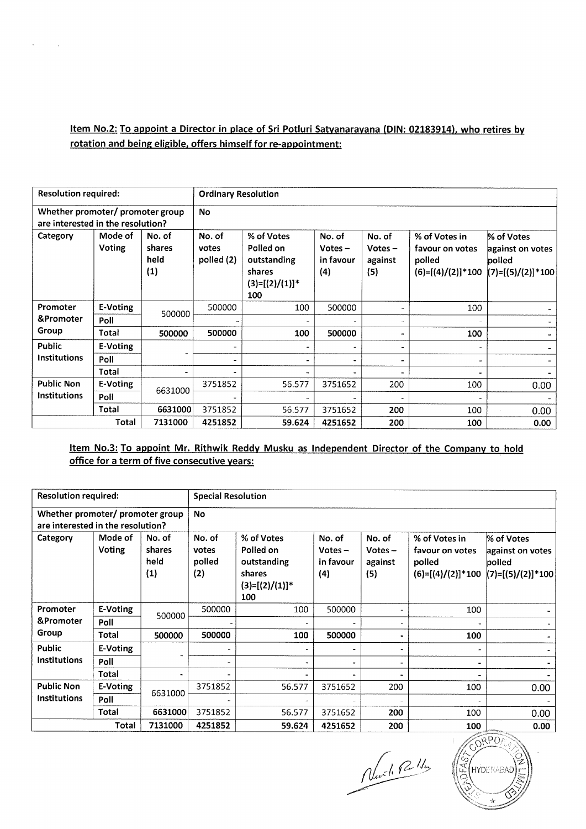# Item No.2: To appoint a Director in place of Sri Potluri Satyanarayana (DIN: 02183914), who retires by rotation and being eligible, offers himself for re-appointment:

|                                                                       | <b>Resolution required:</b><br><b>Ordinary Resolution</b> |                                 |                               |                                                                              |                                         |                                       |                                                                   |                                                                 |  |
|-----------------------------------------------------------------------|-----------------------------------------------------------|---------------------------------|-------------------------------|------------------------------------------------------------------------------|-----------------------------------------|---------------------------------------|-------------------------------------------------------------------|-----------------------------------------------------------------|--|
| Whether promoter/ promoter group<br>are interested in the resolution? |                                                           |                                 | No                            |                                                                              |                                         |                                       |                                                                   |                                                                 |  |
| Category                                                              | Mode of<br>Voting                                         | No. of<br>shares<br>held<br>(1) | No. of<br>votes<br>polled (2) | % of Votes<br>Polled on<br>outstanding<br>shares<br>$(3)=[(2)/(1)]$ *<br>100 | No. of<br>Votes $-$<br>in favour<br>(4) | No. of<br>$Votes -$<br>against<br>(5) | % of Votes in<br>favour on votes<br>polled<br>$(6)=[(4)/(2)]*100$ | % of Votes<br>against on votes<br>polled<br>$(7)=[(5)/(2)]*100$ |  |
| Promoter                                                              | E-Voting                                                  | 500000                          | 500000                        | 100                                                                          | 500000                                  |                                       | 100                                                               |                                                                 |  |
| &Promoter                                                             | Poll                                                      |                                 |                               |                                                                              |                                         |                                       |                                                                   |                                                                 |  |
| Group                                                                 | Total                                                     | 500000                          | 500000                        | 100                                                                          | 500000                                  |                                       | 100                                                               |                                                                 |  |
| Public                                                                | E-Voting                                                  |                                 |                               | $\overline{\phantom{a}}$                                                     | $\overline{\phantom{a}}$                |                                       |                                                                   |                                                                 |  |
| <b>Institutions</b>                                                   | Poll                                                      |                                 |                               |                                                                              | $\qquad \qquad \blacksquare$            |                                       |                                                                   |                                                                 |  |
|                                                                       | Total                                                     |                                 |                               |                                                                              |                                         |                                       |                                                                   |                                                                 |  |
| <b>Public Non</b>                                                     | E-Voting                                                  | 6631000                         | 3751852                       | 56.577                                                                       | 3751652                                 | 200                                   | 100                                                               | 0.00                                                            |  |
| Institutions                                                          | Poll                                                      |                                 |                               |                                                                              |                                         |                                       |                                                                   |                                                                 |  |
|                                                                       | Total                                                     | 6631000                         | 3751852                       | 56.577                                                                       | 3751652                                 | 200                                   | 100                                                               | 0.00                                                            |  |
|                                                                       | Total                                                     | 7131000                         | 4251852                       | 59.624                                                                       | 4251652                                 | 200                                   | 100                                                               | 0.00                                                            |  |

#### office for a term of five consecutive years: Item No.3: To appoint Mr. Rithwik Reddy Musku as Independent Director of the Company to hold

| <b>Resolution required:</b>                                           |                          | <b>Special Resolution</b>       |                                  |                                                                              |                                         |                                       |                                                                   |                                                                 |
|-----------------------------------------------------------------------|--------------------------|---------------------------------|----------------------------------|------------------------------------------------------------------------------|-----------------------------------------|---------------------------------------|-------------------------------------------------------------------|-----------------------------------------------------------------|
| Whether promoter/ promoter group<br>are interested in the resolution? |                          |                                 | <b>No</b>                        |                                                                              |                                         |                                       |                                                                   |                                                                 |
| Category                                                              | Mode of<br><b>Voting</b> | No. of<br>shares<br>held<br>(1) | No. of<br>votes<br>polled<br>(2) | % of Votes<br>Polled on<br>outstanding<br>shares<br>$(3)=[(2)/(1)]$ *<br>100 | No. of<br>Votes $-$<br>in favour<br>(4) | No. of<br>$Votes -$<br>against<br>(5) | % of Votes in<br>favour on votes<br>polled<br>$(6)=[(4)/(2)]*100$ | % of Votes<br>against on votes<br>polled<br>$(7)=[(5)/(2)]*100$ |
| Promoter                                                              | E-Voting                 | 500000                          | 500000                           | 100                                                                          | 500000                                  |                                       | 100                                                               |                                                                 |
| &Promoter                                                             | Poll                     |                                 |                                  |                                                                              |                                         |                                       |                                                                   |                                                                 |
| Group                                                                 | Total                    | 500000                          | 500000                           | 100                                                                          | 500000                                  |                                       | 100                                                               |                                                                 |
| Public                                                                | E-Voting                 | $\ddot{\phantom{1}}$            | $\blacksquare$                   |                                                                              |                                         |                                       |                                                                   |                                                                 |
| <b>Institutions</b>                                                   | Poll                     |                                 | $\overline{\phantom{a}}$         |                                                                              |                                         |                                       |                                                                   |                                                                 |
|                                                                       | Total                    |                                 | $\blacksquare$                   |                                                                              |                                         |                                       |                                                                   |                                                                 |
| <b>Public Non</b>                                                     | E-Voting                 | 6631000                         | 3751852                          | 56.577                                                                       | 3751652                                 | 200                                   | 100                                                               | 0.00                                                            |
| <b>Institutions</b>                                                   | Poll                     |                                 |                                  |                                                                              |                                         |                                       |                                                                   |                                                                 |
|                                                                       | Total                    | 6631000                         | 3751852                          | 56.577                                                                       | 3751652                                 | 200                                   | 100                                                               | 0.00                                                            |
|                                                                       | Total                    | 7131000                         | 4251852                          | 59.624                                                                       | 4251652                                 | 200                                   | 100                                                               | 0.00                                                            |

Nurdi Pally

AS HYDERABAD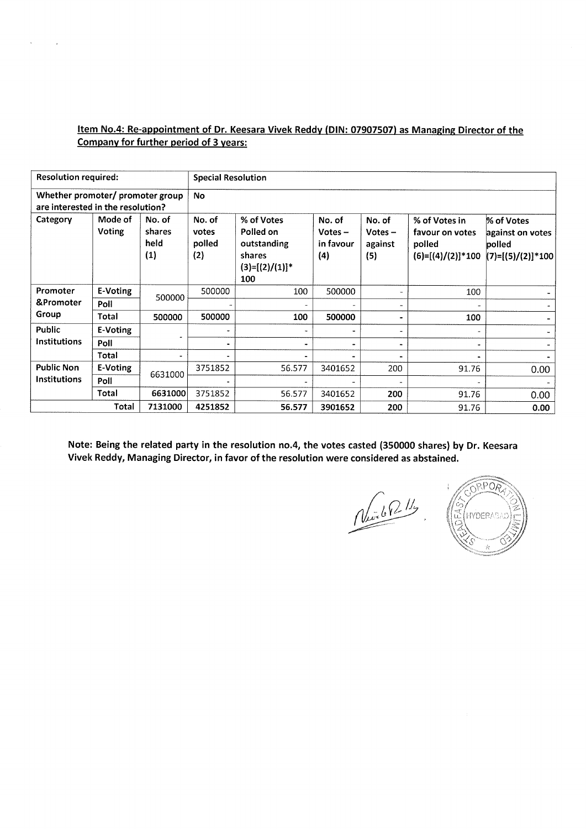#### Item No.4: Re-appointment of Dr. Keesara Vivek Reddy (DIN: 07907507) as Managing Director of the Company for further period of 3 years:

 $\bar{\mathbf{x}}$ 

| <b>Resolution required:</b>                                           |                          |                                 | <b>Special Resolution</b>        |                                                                              |                                         |                                       |                                                                   |                                                                 |  |  |
|-----------------------------------------------------------------------|--------------------------|---------------------------------|----------------------------------|------------------------------------------------------------------------------|-----------------------------------------|---------------------------------------|-------------------------------------------------------------------|-----------------------------------------------------------------|--|--|
| Whether promoter/ promoter group<br>are interested in the resolution? |                          |                                 | <b>No</b>                        |                                                                              |                                         |                                       |                                                                   |                                                                 |  |  |
| Category                                                              | Mode of<br><b>Voting</b> | No. of<br>shares<br>held<br>(1) | No. of<br>votes<br>polled<br>(2) | % of Votes<br>Polled on<br>outstanding<br>shares<br>$(3)=[(2)/(1)]^*$<br>100 | No. of<br>$Votes -$<br>in favour<br>(4) | No. of<br>$Votes -$<br>against<br>(5) | % of Votes in<br>favour on votes<br>polled<br>$(6)=[(4)/(2)]*100$ | % of Votes<br>against on votes<br>polled<br>$(7)=[(5)/(2)]*100$ |  |  |
| Promoter                                                              | E-Voting                 | 500000                          | 500000                           | 100                                                                          | 500000                                  |                                       | 100                                                               |                                                                 |  |  |
| &Promoter                                                             | Poll                     |                                 |                                  |                                                                              |                                         |                                       |                                                                   |                                                                 |  |  |
| Group                                                                 | Total                    | 500000                          | 500000                           | 100                                                                          | 500000                                  | ۰                                     | 100                                                               |                                                                 |  |  |
| <b>Public</b>                                                         | E-Voting                 |                                 | $\overline{\phantom{a}}$         |                                                                              | -                                       | ۰                                     |                                                                   |                                                                 |  |  |
| <b>Institutions</b>                                                   | Poll                     |                                 |                                  |                                                                              |                                         |                                       |                                                                   |                                                                 |  |  |
|                                                                       | Total                    |                                 |                                  |                                                                              |                                         |                                       |                                                                   |                                                                 |  |  |
| <b>Public Non</b>                                                     | E-Voting                 | 6631000                         | 3751852                          | 56.577                                                                       | 3401652                                 | 200                                   | 91.76                                                             | 0.00                                                            |  |  |
| <b>Institutions</b>                                                   | Poll                     |                                 |                                  |                                                                              |                                         |                                       |                                                                   |                                                                 |  |  |
|                                                                       | Total                    | 6631000                         | 3751852                          | 56.577                                                                       | 3401652                                 | 200                                   | 91.76                                                             | 0.00                                                            |  |  |
|                                                                       | Total                    | 7131000                         | 4251852                          | 56.577                                                                       | 3901652                                 | 200                                   | 91.76                                                             | 0.00                                                            |  |  |

Note: Being the related party in the resolution no.4, the votes casted (350000 shares) by Dr. Keesara Vivek Reddy, Managing Director, in favor of the resolution were considered as abstained.

Nich P. 11/4

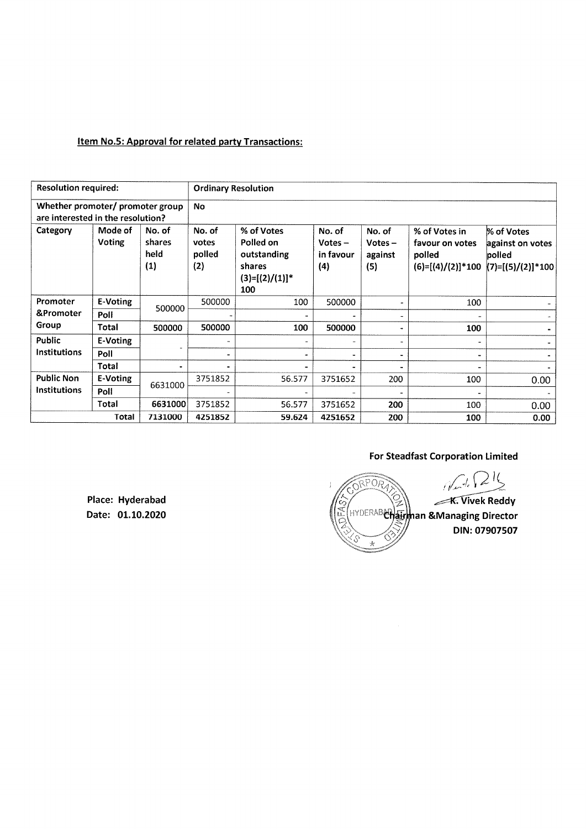#### Item No.5: Approval for related party Transactions:

| <b>Resolution required:</b>                                           |                   |                                 | <b>Ordinary Resolution</b>       |                                                                              |                                         |                                       |                                                                   |                                                               |  |
|-----------------------------------------------------------------------|-------------------|---------------------------------|----------------------------------|------------------------------------------------------------------------------|-----------------------------------------|---------------------------------------|-------------------------------------------------------------------|---------------------------------------------------------------|--|
| Whether promoter/ promoter group<br>are interested in the resolution? |                   |                                 | No                               |                                                                              |                                         |                                       |                                                                   |                                                               |  |
| Category                                                              | Mode of<br>Voting | No. of<br>shares<br>held<br>(1) | No. of<br>votes<br>polled<br>(2) | % of Votes<br>Polled on<br>outstanding<br>shares<br>$(3)=[(2)/(1)]^*$<br>100 | No. of<br>$Votes -$<br>in favour<br>(4) | No. of<br>$Votes -$<br>against<br>(5) | % of Votes in<br>favour on votes<br>polled<br>$(6)=[(4)/(2)]*100$ | % of Votes<br>against on votes<br>polled<br>(7)=[(5)/(2)]*100 |  |
| Promoter                                                              | E-Voting          | 500000                          | 500000                           | 100                                                                          | 500000                                  |                                       | 100                                                               |                                                               |  |
| &Promoter                                                             | Poll              |                                 |                                  | $\blacksquare$                                                               |                                         | $\overline{a}$                        |                                                                   |                                                               |  |
| Group                                                                 | Total             | 500000                          | 500000                           | 100                                                                          | 500000                                  |                                       | 100                                                               |                                                               |  |
| Public                                                                | E-Voting          |                                 | $\overline{a}$                   | ۰                                                                            | ÷                                       | ۰                                     |                                                                   |                                                               |  |
| <b>Institutions</b>                                                   | Poll              |                                 | $\blacksquare$                   | m.                                                                           | ۰                                       |                                       |                                                                   |                                                               |  |
|                                                                       | Total             |                                 |                                  |                                                                              |                                         |                                       |                                                                   |                                                               |  |
| <b>Public Non</b>                                                     | E-Voting          |                                 | 3751852                          | 56.577                                                                       | 3751652                                 | 200                                   | 100                                                               | 0.00                                                          |  |
| Institutions                                                          | Poll              | 6631000                         |                                  |                                                                              |                                         |                                       |                                                                   |                                                               |  |
|                                                                       | Total             | 6631000                         | 3751852                          | 56.577                                                                       | 3751652                                 | 200                                   | 100                                                               | 0.00                                                          |  |
|                                                                       | <b>Total</b>      | 7131000                         | 4251852                          | 59.624                                                                       | 4251652                                 | 200                                   | 100                                                               | 0.00                                                          |  |

# For Steadfast Corporation Limited

 $N + 24$ RPORT **X OSS AND REALLY PROPERTY K. Vivek Reddy** E (HYDERAB**CHairman &Managing Director** .<br>ت DIN: 07907507 ÷

Place: Hyderabad Date: 01.10.2020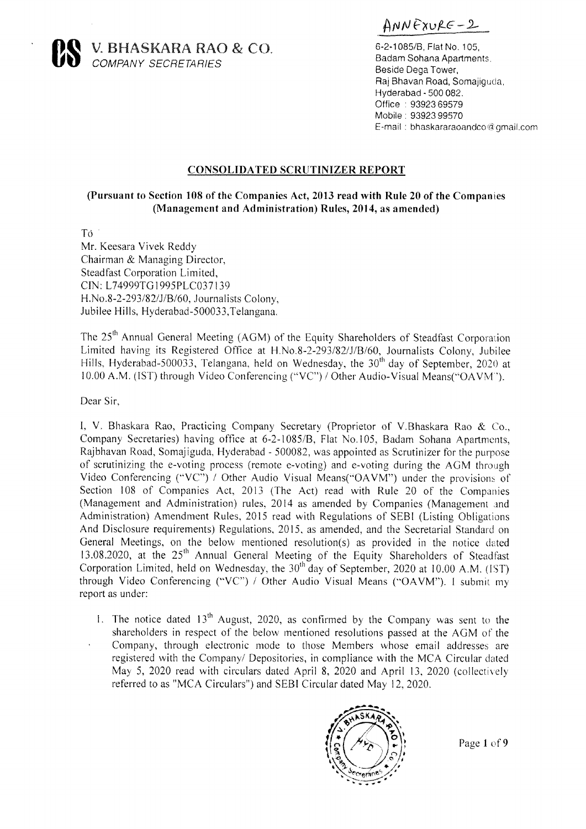ANNEXURE-2



 $\mathbf{R}$  V. BHASKARA RAO & CO. 6-2-1085/B, Flat No. 105, COMPANY SECRETARIES BESIDE DEGAL DEGAL DEGAL DEGALLER DEGALLER DEGALLER DEGALLER DEGALLER DEGALLER DEGALLER DEGALLER DEGALLER DEGALLER DEGALLER DEGALLER DEGALLER DEGALLER DEGALLER DEGALLER DEGALLER DEGALLER DEGALLER DEGALL

Badam Sohana Apartments. Raj Bhavan Road, Somajiguda, Hyderabad- 500 082. Office : 93923 69579 Mobile ; 93923 99570 E-mail : bhaskararaoandco @gmail.com

#### CONSOLIDATED SCRUTINIZER REPORT

#### (Pursuant to Section 108 of the Companies Act, 2013 read with Rule 20 of the Companies (Management and Administration) Rules, 2014, as amended)

Té |

Mr. Keesara Vivek Reddy Chairman & Managing Director, Steadfast Corporation Limited, CIN: L74999TG1995PLC037 139 H.No.8-2-293/82/J/B/60, Journalists Colony, Jubilee Hills, Hyderabad-500033,Telangana.

The 25<sup>th</sup> Annual General Meeting (AGM) of the Equity Shareholders of Steadfast Corporation Limited having its Registered Office at H.No.8-2-293/82/J/B/60, Journalists Colony, Jubilee Hills, Hyderabad-500033, Telangana, held on Wednesday, the  $30<sup>th</sup>$  day of September, 2020 at 10.00 A.M. (IST) through Video Conferencing ('VC") / Other Audio-Visual Means("OAVM').

Dear Sir,

I, V. Bhaskara Rao, Practicing Company Secretary (Proprietor of V.Bhaskara Rao & Co., Company Secretaries) having office at 6-2-1085/B, Flat No.105, Badam Sohana Apartments, Rajbhavan Road, Somajiguda, Hyderabad - 500082, was appointed as Scrutinizer for the purpose of scrutinizing the e-voting process (remote e-voting) and e-voting during the AGM through Video Conferencing ("VC") / Other Audio Visual Means(\*OAVM") under the provisions of Section 108 of Companies Act, 2013 (The Act) read with Rule 20 of the Companies (Management and Administration) rules, 2014 as amended by Companies (Management and Administration) Amendment Rules, 2015 read with Regulations of SEBI (Listing Obligations And Disclosure requirements) Regulations, 2015, as amended, and the Secretarial Standard on General Meetings, on the below mentioned resolution(s) as provided in the notice dated 13.08.2020, at the 25" Annual General Meeting of the Equity Shareholders of Steadfast Corporation Limited, held on Wednesday, the 30<sup>th</sup> day of September, 2020 at 10.00 A.M. (IST) through Video Conferencing ("VC") / Other Audio Visual Means (\*OAVM"). 1 submit my report as under:

1. The notice dated  $13<sup>th</sup>$  August, 2020, as confirmed by the Company was sent to the shareholders in respect of the below mentioned resolutions passed at the AGM of the Company, through electronic mode to those Members whose email addresses are registered with the Company/ Depositories, in compliance with the MCA Circular dated May5, 2020 read with circulars dated April 8, 2020 and April 13, 2020 (collectively referred to as "MCA Circulars") and SEBI Circular dated May 12, 2020.



Page 1 of 9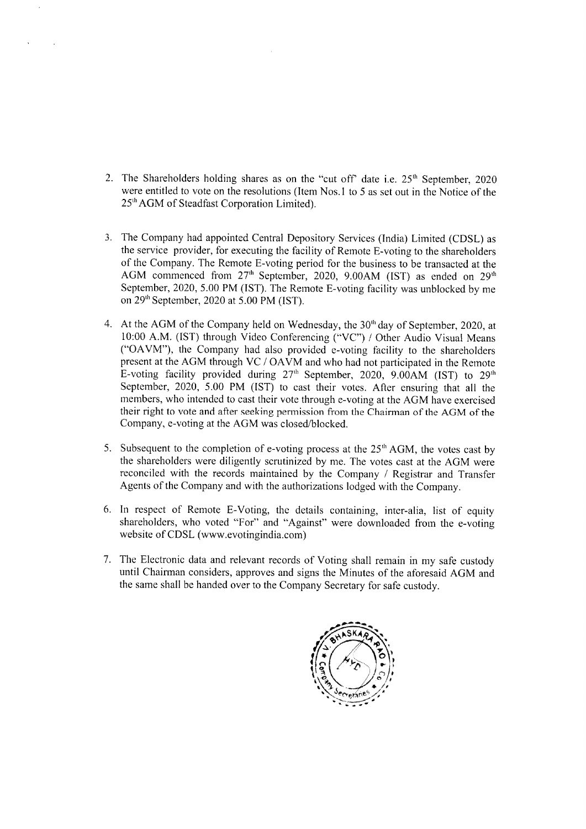- 2. The Shareholders holding shares as on the "cut off" date i.e.  $25<sup>th</sup>$  September, 2020 were entitled to vote on the resolutions (Item Nos.1 to 5 as set out in the Notice of the 25" AGM of Steadfast Corporation Limited).
- 3. The Company had appointed Central Depository Services (India) Limited (CDSL) as the service provider, for executing the facility of Remote E-voting to the shareholders of the Company. The Remote E-voting period for the business to be transacted at the AGM commenced from 27<sup>th</sup> September, 2020, 9.00AM (IST) as ended on 29<sup>th</sup> September, 2020, 5.00 PM (IST). The Remote E-voting facility was unblocked by me on 29" September, 2020 at 5.00 PM (IST).
- At the AGM of the Company held on Wednesday, the 30" day of September, 2020, at 10:00 A.M. (IST) through Video Conferencing ("VC") / Other Audio Visual Means ("OAVM"), the Company had also provided e-voting facility to the shareholders present at the AGM through VC / OAVM and who had not participated in the Remote E-voting facility provided during  $27<sup>th</sup>$  September, 2020, 9.00AM (IST) to  $29<sup>th</sup>$ September, 2020, 5.00 PM (IST) to cast their votes. After ensuring that all the members, who intended to cast their vote through e-voting at the AGM have exercised their right to vote and after seeking permission from the Chairman of the AGM of the Company, e-voting at the AGM was closed/blocked.
- 5. Subsequent to the completion of e-voting process at the  $25<sup>th</sup>$  AGM, the votes cast by the shareholders were diligently scrutinized by me. The votes cast at the AGM were reconciled with the records maintained by the Company / Registrar and Transfer Agents of the Companyand with the authorizations lodged with the Company.
- 6. In respect of Remote E-Voting, the details containing, inter-alia, list of equity shareholders, who voted "For" and "Against" were downloaded from the e-voting website of CDSL (www.evotingindia.com)
- The Electronic data and relevant records of Voting shall remain in my safe custody until Chairman considers, approves and signs the Minutes of the aforesaid AGM and the same shall be handed over to the Company Secretary for safe custody.

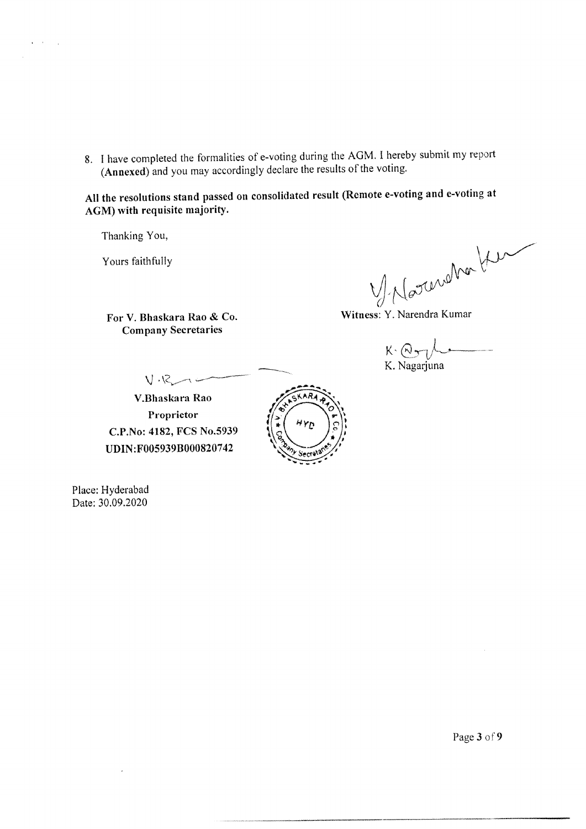8. Ihave completed the formalities of e-voting during the AGM. <sup>I</sup> hereby submit my report (Annexed) and you may accordingly declare the results of the voting.

All the resolutions stand passed on consolidated result (Remote e-voting and e-voting at AGM) with requisite majority.

Thanking You,

 $\mathbf{r} = \mathbf{r}$ 

Yours faithfully  $\mathcal{V}$ ny Wn

For V. Bhaskara Rao & Co. Witness: Y. Narendra Kumar

**Company Secretaries** 

 $K: \bigcap_{k\in\mathbb{Z}}\bigcup_{k\in\mathbb{Z}}\mu$ a K. Nagarjuna

V.Bhaskara Rao Proprietor C.P.No: 4182, FCS No.5939 UDIN:F005939B000820742



Place: Hyderabad Date: 30.09.2020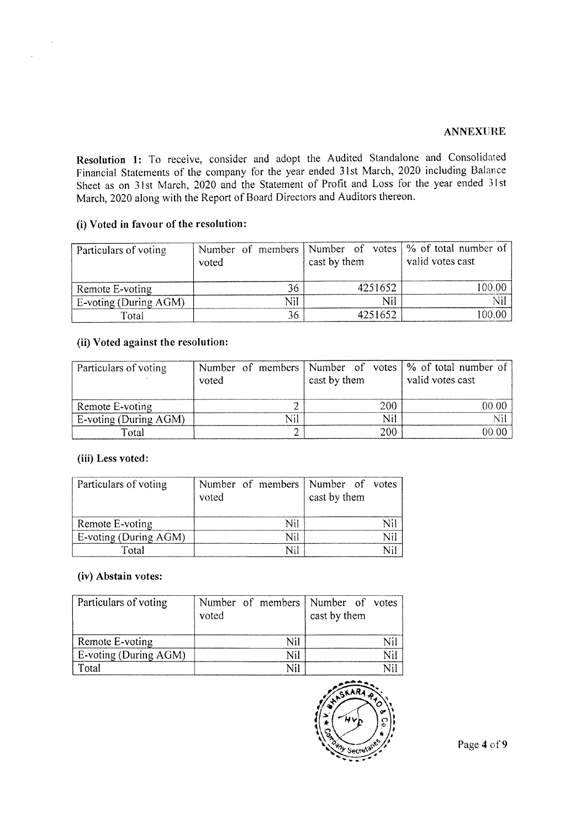#### ANNEXURE

Resolution 1: To receive, consider and adopt the Audited Standalone and Consolidated Financial Statements of the company for the year ended 31st March, 2020 including Balance Sheet as on 31st March, 2020 and the Statement of Profit and Loss for the year ended 31st March, 2020 along with the Report of Board Directors and Auditors thereon.

#### (i) Voted in favour of the resolution:

| Particulars of voting | voted |     | cast by them | Number of members   Number of votes   % of total number of  <br>valid votes cast |
|-----------------------|-------|-----|--------------|----------------------------------------------------------------------------------|
| Remote E-voting       |       | 36  | 4251652      | 100.00                                                                           |
| E-voting (During AGM) |       | Nil | Nil          | Nil                                                                              |
| Total                 |       | 36  | 4251652      | 100.00                                                                           |

#### (ii) Voted against the resolution:

| Particulars of voting | voted | cast by them | Number of members Number of votes   % of total number of  <br>valid votes cast |
|-----------------------|-------|--------------|--------------------------------------------------------------------------------|
| Remote E-voting       |       | 200          | 00.00-                                                                         |
| E-voting (During AGM) |       | Nil          |                                                                                |
| Total                 |       | 200          | 00. OO                                                                         |

#### (iii) Less voted:

| Particulars of voting | Number of members Number of votes<br>voted | cast by them |
|-----------------------|--------------------------------------------|--------------|
| Remote E-voting       | Nil                                        |              |
| E-voting (During AGM) | Nil                                        |              |
| Total                 | Nil                                        |              |

## (iv) Abstain votes:

| Particulars of voting | voted |     | Number of members Number of votes<br>cast by them |  |
|-----------------------|-------|-----|---------------------------------------------------|--|
| Remote E-voting       |       | Nil |                                                   |  |
| E-voting (During AGM) |       | Nil |                                                   |  |
| Total                 |       | Nil |                                                   |  |

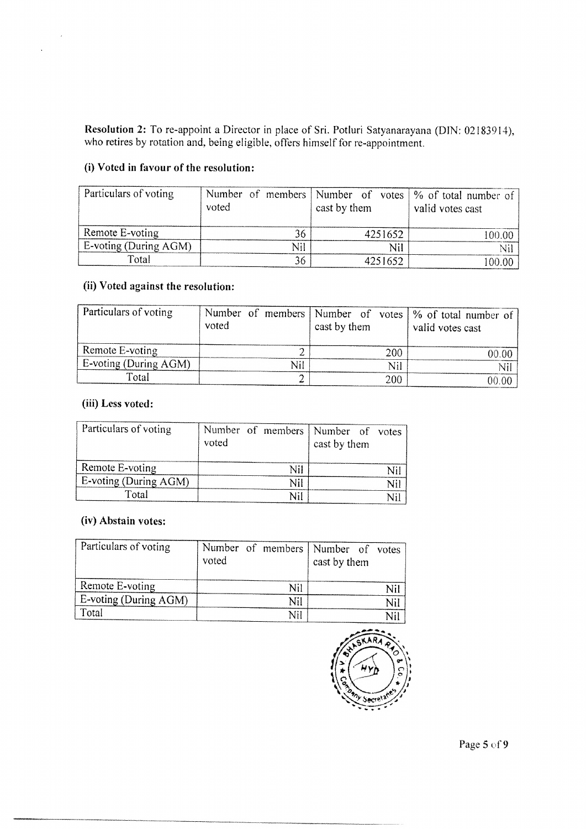Resolution 2: To re-appoint a Director in place of Sri. Potluri Satyanarayana (DIN: 02183914), who retires by rotation and, being eligible, offers himself for re-appointment.

#### (i) Voted in favour of the resolution:

| Particulars of voting | voted |     | cast by them |         | Number of members   Number of votes   % of total number of<br>valid votes cast |
|-----------------------|-------|-----|--------------|---------|--------------------------------------------------------------------------------|
| Remote E-voting       |       | 36  |              | 4251652 | 100.00                                                                         |
| E-voting (During AGM) |       | Nil |              | Nil     |                                                                                |
| Total                 |       | 36  |              | 4251652 | 100.00                                                                         |

### (ii) Voted against the resolution:

| Particulars of voting | voted |     | cast by them |     | Number of members   Number of votes   % of total number of<br>valid votes cast |
|-----------------------|-------|-----|--------------|-----|--------------------------------------------------------------------------------|
| Remote E-voting       |       |     |              | 200 | NO 00                                                                          |
| E-voting (During AGM) |       | Nil |              | Nil |                                                                                |
| Total                 |       |     |              | 200 | 00 OO                                                                          |

#### (iii) Less voted:

| Particulars of voting | voted |     | Number of members Number of votes<br>cast by them |     |
|-----------------------|-------|-----|---------------------------------------------------|-----|
| Remote E-voting       |       | Nil |                                                   | Nil |
| E-voting (During AGM) |       | Nil |                                                   | Nil |
| Total                 |       | Nil |                                                   |     |

#### (iv) Abstain votes:

| Particulars of voting | voted |     | Number of members   Number of votes<br>cast by them |     |
|-----------------------|-------|-----|-----------------------------------------------------|-----|
| Remote E-voting       |       |     |                                                     | Nil |
| E-voting (During AGM) |       | Nil |                                                     | Nil |
| Total                 |       | Nil |                                                     |     |

the contract of the contract of the contract of the contract of the contract of the contract of the contract of the contract of the contract of the contract of the contract of the contract of the contract of the contract o



Page 5 of 9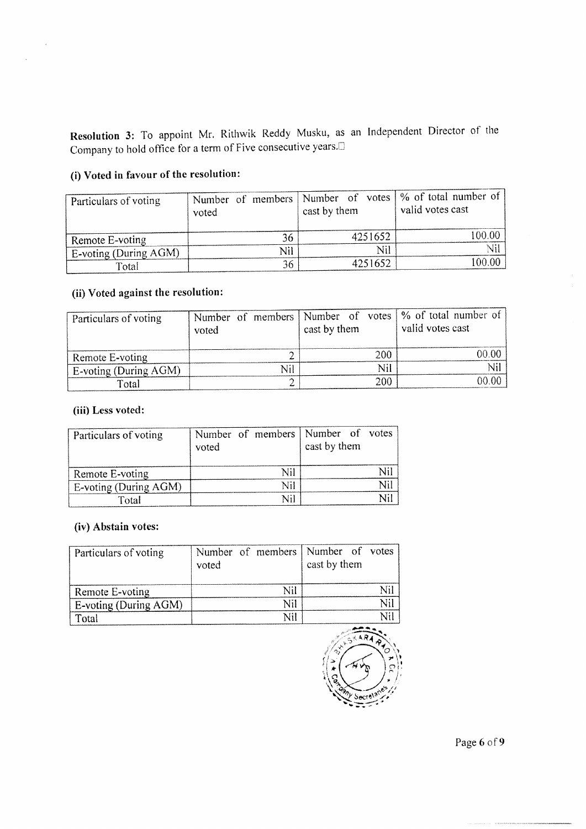Resolution 3: To appoint Mr. Rithwik Reddy Musku, as an Independent Director of the Company to hold office for a term of Five consecutive years.<sup>1</sup>

# (i) Voted in favour of the resolution:

| Particulars of voting | Number of members   Number of votes   % of total number of<br>voted | cast by them | valid votes cast |
|-----------------------|---------------------------------------------------------------------|--------------|------------------|
| Remote E-voting       | 36                                                                  | 4251652      | 100.00           |
| E-voting (During AGM) | Nil                                                                 | Nil          |                  |
| Total                 | 36                                                                  | 4251652      | 100.00           |

# (ii) Voted against the resolution:

| Particulars of voting | voted | cast by them |     | Number of members   Number of votes   % of total number of<br>valid votes cast |
|-----------------------|-------|--------------|-----|--------------------------------------------------------------------------------|
| Remote E-voting       |       |              | 200 | 00.OC                                                                          |
| E-voting (During AGM) |       |              | Nil |                                                                                |
| Total                 |       |              | 200 | 00.00                                                                          |

#### (iii) Less voted:

| Particulars of voting | voted |     | Number of members   Number of votes<br>cast by them |  |
|-----------------------|-------|-----|-----------------------------------------------------|--|
| Remote E-voting       |       | Nil |                                                     |  |
| E-voting (During AGM) |       | Nil |                                                     |  |
| Total                 |       |     |                                                     |  |

## (iv) Abstain votes:

| Particulars of voting | voted |     | Number of members Number of votes<br>cast by them |     |
|-----------------------|-------|-----|---------------------------------------------------|-----|
| Remote E-voting       |       | Nil |                                                   |     |
| E-voting (During AGM) |       | Nil |                                                   | Vil |
| Total                 |       | Ni' |                                                   | Nil |



Page 6 of 9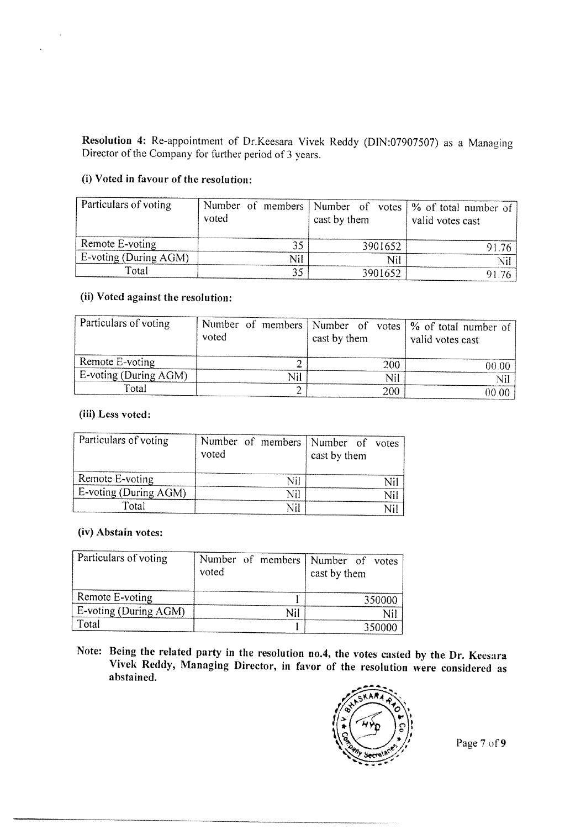Resolution 4: Re-appointment of Dr.Keesara Vivek Reddy (DIN:07907507) as a Managing Director of the Company for further period of 3 years.

#### (i) Voted in favour of the resolution:

| Particulars of voting        | voted | cast by them | Number of members   Number of votes   % of total number of  <br>valid votes cast |
|------------------------------|-------|--------------|----------------------------------------------------------------------------------|
| Remote E-voting              |       | 3901652      | 91 76                                                                            |
| <b>E-voting (During AGM)</b> | Nil   | Nil          |                                                                                  |
| Total                        |       | 3901652      | 9176                                                                             |

## (ii) Voted against the resolution:

| Particulars of voting        | voted | cast by them |     | Number of members   Number of votes   % of total number of<br>valid votes cast |
|------------------------------|-------|--------------|-----|--------------------------------------------------------------------------------|
| Remote E-voting              |       |              | 200 | 00.00                                                                          |
| <b>E-voting (During AGM)</b> |       |              | Nil | Nil                                                                            |
| Total                        |       |              | 200 | 00.00                                                                          |

#### (iii) Less voted:

 $\epsilon$ 

 $\overline{\phantom{a}}$ 

| Particulars of voting | voted |     | Number of members   Number of votes<br>cast by them |  |
|-----------------------|-------|-----|-----------------------------------------------------|--|
| Remote E-voting       |       | Nil |                                                     |  |
| E-voting (During AGM) |       | Nil |                                                     |  |
| Total                 |       |     |                                                     |  |

#### (iv) Abstain votes:

| Particulars of voting | voted |  | Number of members   Number of votes<br>cast by them |
|-----------------------|-------|--|-----------------------------------------------------|
| Remote E-voting       |       |  | 350000                                              |
| E-voting (During AGM) |       |  | Nil                                                 |
| Total                 |       |  | 350000                                              |

Note: Being the related party in the resolution no.4, the votes casted by the Dr. Keesara Vivek Reddy, Managing Director, in favor of the resolution were considered as abstained.



Page 7 of 9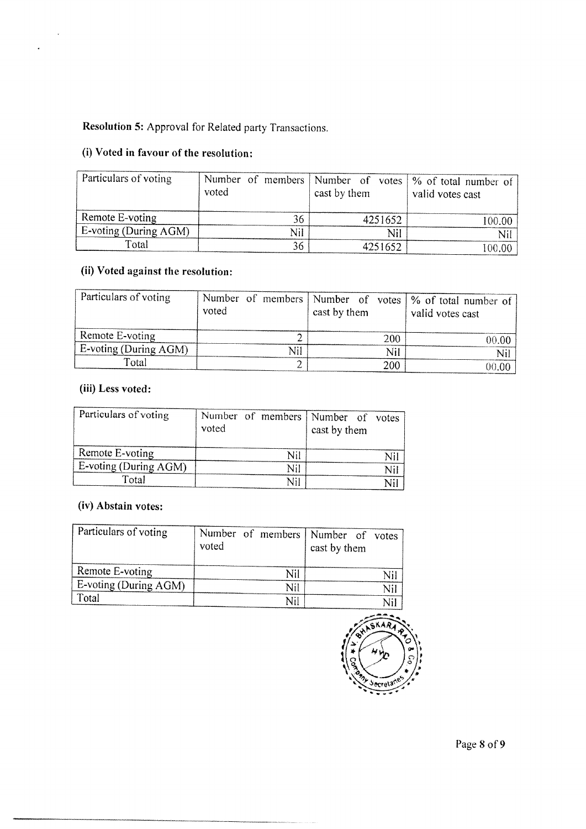# Resolution 5: Approval for Related party Transactions.

# (i) Voted in favour of the resolution:

| Particulars of voting    | voted |     | cast by them |         | Number of members   Number of votes   % of total number of  <br>valid votes cast |
|--------------------------|-------|-----|--------------|---------|----------------------------------------------------------------------------------|
| Remote E-voting          |       | 36  |              | 4251652 | 100.00                                                                           |
| $E$ -voting (During AGM) |       | Nil |              | Nil     | Ni                                                                               |
| Total                    |       | 36  |              | 4251652 | 100.00                                                                           |

# (ii) Voted against the resolution:

| Particulars of voting | voted |     | cast by them |     | Number of members   Number of votes   % of total number of  <br>valid votes cast |
|-----------------------|-------|-----|--------------|-----|----------------------------------------------------------------------------------|
| $R$ Remote E-voting   |       |     |              | 200 | 00.00                                                                            |
| E-voting (During AGM) |       | Nil |              | Nil | Nil                                                                              |
| Total                 |       |     |              | 200 | 00.00                                                                            |

## (iii) Less voted:

 $\overline{\phantom{a}}$ 

l,

| Particulars of voting | voted |     | Number of members   Number of votes<br>cast by them |     |
|-----------------------|-------|-----|-----------------------------------------------------|-----|
| Remote E-voting       |       | Nil |                                                     | Ni' |
| E-voting (During AGM) |       | Nil |                                                     | Nil |
| Total                 |       | Nil |                                                     | Nil |

## (iv) Abstain votes:

| Particulars of voting | voted |     | Number of members   Number of votes<br>cast by them |     |
|-----------------------|-------|-----|-----------------------------------------------------|-----|
| Remote E-voting       |       | Nil |                                                     | Nil |
| E-voting (During AGM) |       | Nil |                                                     | Nil |
| Total                 |       | Nil |                                                     | Nil |